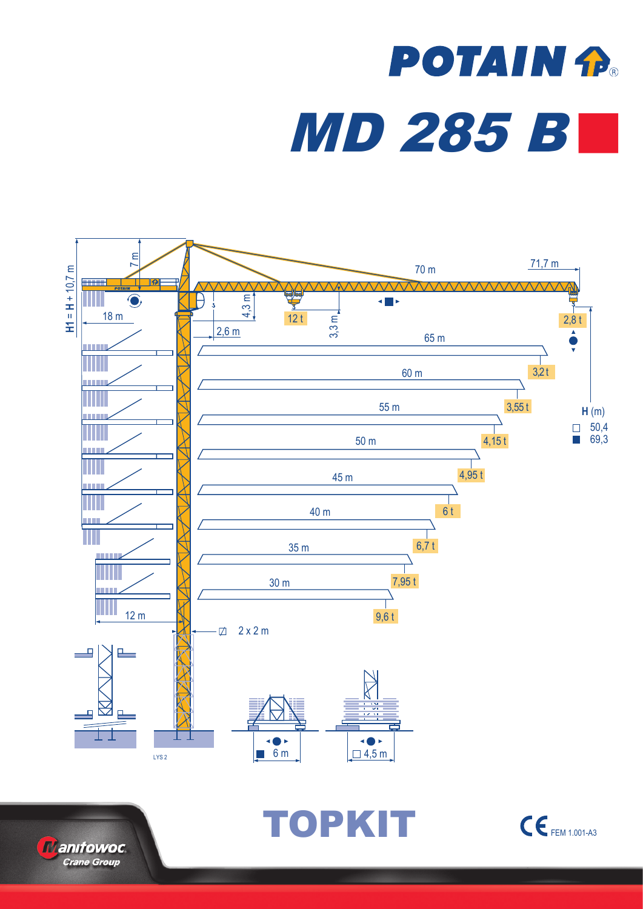## **POTAIN P.** MD 285 B



**Manifowoc Crane Group** 

TOPKIT CEFEM 1.001-A3

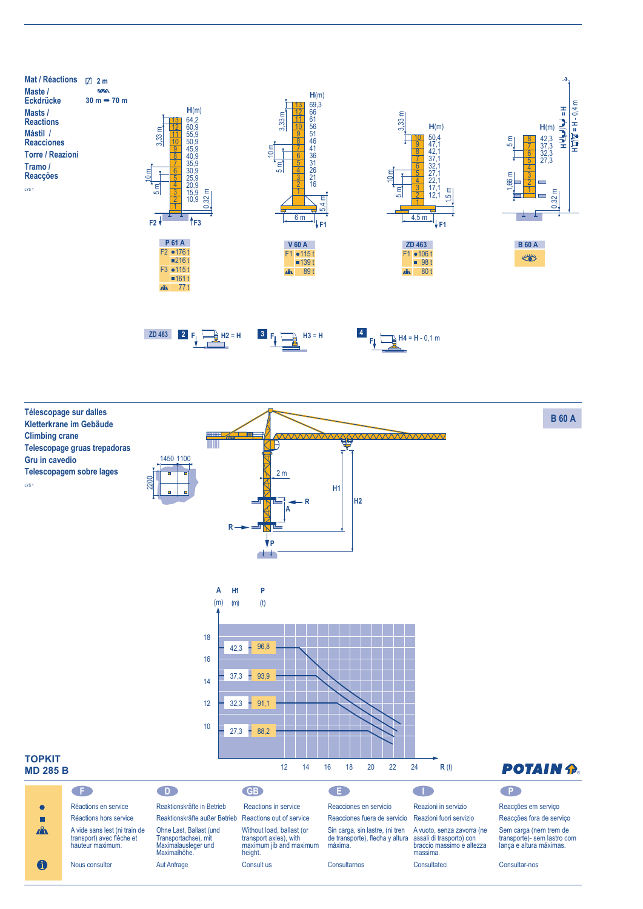



Nous consulter

 $\mathbf 6$ 

Maximalhöhe. Auf Anfrage height.

Consult us

máxima. Consultarnos

assali di trasporto) con braccio massimo e altezza massima. Consultateci

Sem carga (nem trem de transporte)- sem lastro com lança e altura máximas.

Consultar-nos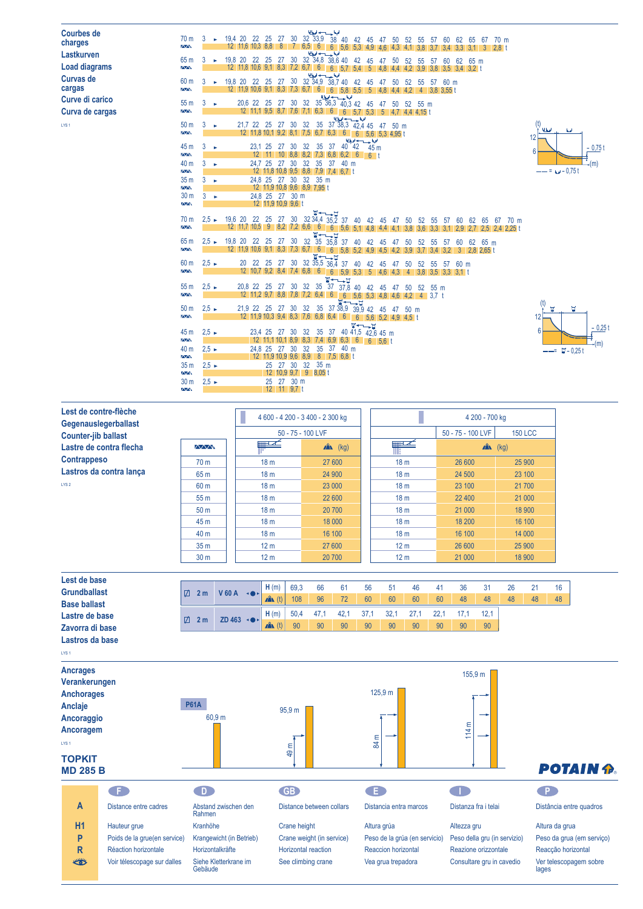| <b>Courbes de</b><br>charges<br>Lastkurven | 70 <sub>m</sub><br><b>AA</b><br>65 m         | 3<br>3                     | المقاحس أدا<br>32 33.9<br>30<br>19.4 20<br>22<br>-25<br>27<br>38<br>40<br>42<br>45<br>50<br>52<br>70 <sub>m</sub><br>-47<br>55<br>60<br>5/<br>62<br>65<br>67<br>12 11.6 10.3 8.8<br>- 8<br>$7 \t6.5$<br>6<br>$6^{\circ}$<br>$5.6$ 5.3 4.9<br>$\overline{2,8}$ t<br>4.1<br>3.8<br>3.4<br>3.3<br>-3<br>4.6<br>4.3<br>3.1<br>$32\overline{\)34,8}$ $38.6$<br>30<br>19,8 20<br>25<br>27<br>22<br>38.6 40 42<br>65 m<br>45<br>50<br>52<br>60<br>62<br>47<br>5/ |                               |
|--------------------------------------------|----------------------------------------------|----------------------------|-----------------------------------------------------------------------------------------------------------------------------------------------------------------------------------------------------------------------------------------------------------------------------------------------------------------------------------------------------------------------------------------------------------------------------------------------------------|-------------------------------|
| <b>Load diagrams</b><br><b>Curvas de</b>   | <b>AA</b>                                    |                            | 12 11.8 10.6 9.1 8.3 7.2 6.7<br>6<br>6<br>5.7 5.4<br>-5<br>39<br>3.4<br>3.2 <sub>0</sub><br>3.8<br>الملاسب لوا                                                                                                                                                                                                                                                                                                                                            |                               |
| cargas                                     | 60 <sub>m</sub><br><b>AA</b>                 | 3<br>$\blacktriangleright$ | 32 34,9<br>19,8 20<br>22 25<br>27<br>30<br>38.740<br>42<br>60 m<br>45<br>50<br>52<br>55<br>57<br>12 11,9 10,6 9,1 8,3<br>7.3<br>6.7<br>6<br>6<br>5.8<br>55<br>4.4 4.2<br>-5<br>3.8 3.55 t<br>4.8<br>$\overline{4}$                                                                                                                                                                                                                                        |                               |
| Curve di carico                            | 55m                                          | 3<br>٠                     | الملاس سيداديا<br>$35\overline{36}$ , $3\overline{40}$ , $3\overline{42}$<br>20.6 22<br>30<br>32<br>25<br>27<br>45<br>52<br>55 <sub>m</sub><br>50<br>47                                                                                                                                                                                                                                                                                                   |                               |
| Curva de cargas                            | $\overline{\wedge}\wedge$                    |                            | 12 11,1 9,5 8,7<br>7.6<br>7.1<br>6.3<br>$\mathfrak b$<br>$5.7$ 5.3<br>6<br>5<br>4.4 4.15 t<br>4.7                                                                                                                                                                                                                                                                                                                                                         |                               |
| LYS <sub>1</sub>                           | 50 <sub>m</sub><br>$\overline{\mathbf{A}}$   | 3<br>- 6                   | المباحس بدايا<br>35<br>32<br>37 38,3 42.4 45<br>21.7 22<br>30<br>-25<br>27<br>50 m<br>47<br>12 11,8 10,1 9,2 8,1<br>$7.5\quad 6.7\quad 6.3$<br>6<br>$5,6$ 5.3 4.95 t<br>6                                                                                                                                                                                                                                                                                 | <b>ULJ</b><br><b>Ad</b><br>12 |
|                                            | 45 m<br>$\sim$                               | $3 - $                     | $0.42 + 45$ m<br>23,1 25<br>$40^{\degree}42$<br>32<br>35<br>37<br>27<br>30<br>$10$ 8,8 8,2 7,3 6,8 6,2 6<br>$12 \quad 11$<br>6 <sup>1</sup>                                                                                                                                                                                                                                                                                                               | $-0.75t$<br>6                 |
|                                            | 40 <sub>m</sub>                              | $3 - 1$                    | 24.7 25<br>30<br>32<br>35<br>27<br>37<br>40 m                                                                                                                                                                                                                                                                                                                                                                                                             | -(m)                          |
|                                            | $\overline{\wedge}\wedge$<br>35 <sub>m</sub> | 3<br>- 6                   | 12 11.8 10.8 9.5 8.8 7.9 7.4 6.7 t<br>24,8 25 27 30<br>32<br>35 <sub>m</sub>                                                                                                                                                                                                                                                                                                                                                                              | $-- = 4 - 0.75t$              |
|                                            | $\sim$                                       |                            | 12 11,9 10,8 9,6 8,9 7,95 t                                                                                                                                                                                                                                                                                                                                                                                                                               |                               |
|                                            | 30 <sub>m</sub><br><b>AA</b>                 | $3 - 5$                    | 24,8 25 27 30 m<br>12 11,9 10,9 9,6 t                                                                                                                                                                                                                                                                                                                                                                                                                     |                               |
|                                            | 70 <sub>m</sub><br>$\Delta \Delta$           | $2.5 \rightarrow$          | <b>₩←∟⊢⊡</b><br>19,6 20<br>30 <sup>°</sup><br>32 34,4 35,2 37 40 42 45<br>25<br>27<br>22<br>- 50<br>52<br>55<br>-57<br>-60<br>62<br>65<br>- 67<br>70 m<br>-47<br>-9<br>$8.2$ 7.2 6.6<br>12 11.7<br>10.5<br>$6^{\circ}$<br>6 5.6 5.1 4.8 4.4<br>3.8<br>3.6<br>3.3<br>3.1<br>2.9<br>2.5 2.4 2.25 t<br>4.1                                                                                                                                                   |                               |
|                                            | 65 m<br>$\overline{\wedge}\wedge$            | $2.5 \rightarrow$          | $\frac{14}{35} + \frac{14}{35,8}$<br>19,8 20 22 25<br>30<br>27<br>32<br>$35.\overline{8}3740$<br>65 m<br>42<br>50<br>52<br>55<br>62<br>45<br>57<br>41<br>12 11,9 10,6 9,1 8,3<br>7,3 6,7<br>$6 \overline{6}$<br>$5.8 \ 5.2$<br>6<br>4.9<br>3.9<br>3.7<br>3.2<br>3<br>2.8 2.65 t<br>$4.2^{\circ}$<br>3.4                                                                                                                                                   |                               |
|                                            | 60 <sub>m</sub><br>$\Delta \Delta$           | $2.5 \rightarrow$          | <b>W←––⊔</b><br>32 35,5 36,4<br>20<br>25<br>30<br>22<br>27<br>37<br>40<br>42<br>60 m<br>45<br>50<br>52<br>55<br>-47<br>57<br>12 10.7 9.2 8.4 7.4 6.8 6<br>$6$ 5,9 5,3 5<br>3.8<br>3,5<br>4.6<br>$3.3 \ 3.1 \ t$<br>4.3<br>4                                                                                                                                                                                                                               |                               |
|                                            | 55 <sub>m</sub><br>$\sim$                    | $2,5 \rightarrow$          | <b>W←→D</b><br>32<br>35<br>30<br>37<br>20,8 22<br>25<br>27<br>37,8<br>40<br>42<br>45<br>55 m<br>47<br>50<br>52<br>12 11.2 9.7 8.8<br>7.8<br>7.2<br>6.4<br>6<br>$5,6$ 5.3 4.8 4.6<br>6<br>4.2<br>$\overline{4}$<br>3.7 <sub>th</sub>                                                                                                                                                                                                                       |                               |
|                                            | 50 <sub>m</sub><br>$\overline{\Delta\Delta}$ | $2.5 \rightarrow$          | <b>⊽←––⊐</b><br>$37\,38,9\,39,9\,42\,45$<br>21,9 22 25 27<br>35<br>32<br>30<br>50 <sub>m</sub><br>-47<br>12 11,9 10,3 9,4 8,3 7,6 6,8 6,4<br>$6\overline{6}$<br>$6 \overline{6}$<br>$5.6$ 5.2 4.9 4.5 t                                                                                                                                                                                                                                                   | п<br>W<br>12                  |
|                                            | 45 m<br>$\overline{\wedge}\wedge$            | $2,5 \rightarrow$          | <b>W←∟p</b><br>37 40 41,5 42,6 45 m<br>23,4 25<br>32<br>35<br>27<br>30<br>$12$ 11,1 10,1 8,9 8,3 7,4 6,9 6,3 6<br>6 5.6 t                                                                                                                                                                                                                                                                                                                                 | $-0,25t$<br>6<br>+(m)         |
|                                            | 40 <sub>m</sub><br>$\overline{N}$            | $2.5 \rightarrow$          | 27<br>32<br>35<br>37<br>40 m<br>24.8 25<br>30<br>12 11,9 10,9 9,6 8,9<br>8 7.5 6.8 t                                                                                                                                                                                                                                                                                                                                                                      | $-- =$ $\Box -0.25t$          |
|                                            | 35 <sub>m</sub><br><b>AA</b>                 | $2.5 \rightarrow$          | 32 35 m<br>25 27 30<br>12 10,9 9,7 9 8,05 t                                                                                                                                                                                                                                                                                                                                                                                                               |                               |

| Lest de contre-flèche<br>Gegenauslegerballast |                 |                 | 4 600 - 4 200 - 3 400 - 2 300 kg | 4 200 - 700 kg                      |                   |        |  |  |  |  |
|-----------------------------------------------|-----------------|-----------------|----------------------------------|-------------------------------------|-------------------|--------|--|--|--|--|
| <b>Counter-jib ballast</b>                    |                 |                 | 50 - 75 - 100 LVF                | 50 - 75 - 100 LVF<br><b>150 LCC</b> |                   |        |  |  |  |  |
| Lastre de contra flecha                       | WW.             | ▦∸              | $\mathbf{A}$ (kg)                | $\blacksquare$                      | $\mathbf{A}$ (kg) |        |  |  |  |  |
| <b>Contrappeso</b>                            | 70 <sub>m</sub> | 18 <sub>m</sub> | 27 600                           | 18 <sub>m</sub>                     | 26 600            | 25 900 |  |  |  |  |
| Lastros da contra lança                       | 65 m            | 18 <sub>m</sub> | 24 900                           | 18 <sub>m</sub>                     | 24 500            | 23 100 |  |  |  |  |
| LYS <sub>2</sub>                              | 60 <sub>m</sub> | 18 <sub>m</sub> | 23 000                           | 18 <sub>m</sub>                     | 23 100            | 21 700 |  |  |  |  |
|                                               | 55 m            | 18 <sub>m</sub> | 22 600                           | 18 <sub>m</sub>                     | 22 400            | 21 000 |  |  |  |  |
|                                               | 50 <sub>m</sub> | 18 <sub>m</sub> | 20 700                           | 18 <sub>m</sub>                     | 21 000            | 18 900 |  |  |  |  |
|                                               | 45 m            | 18 <sub>m</sub> | 18 000                           | 18 <sub>m</sub>                     | 18 200            | 16 100 |  |  |  |  |
|                                               | 40 <sub>m</sub> | 18 <sub>m</sub> | 16 100                           | 18 <sub>m</sub>                     | 16 100            | 14 000 |  |  |  |  |
|                                               | 35 <sub>m</sub> | 12 <sub>m</sub> | 27 600                           | 12 <sub>m</sub>                     | 26 600            | 25 900 |  |  |  |  |
|                                               | 30 <sub>m</sub> | 12 <sub>m</sub> | 20 700                           | 12 <sub>m</sub>                     | 21 000            | 18 900 |  |  |  |  |

 $30 \text{ m}$   $2,5$   $\sim$ 

12 11 9,7 t<br>Ann 25 27 30 m

| Lest de base        |   |                |                               |      |      |     |    |    |     |        |     |    |    |    |    |    |
|---------------------|---|----------------|-------------------------------|------|------|-----|----|----|-----|--------|-----|----|----|----|----|----|
| <b>Grundballast</b> | ☑ | 2 <sub>m</sub> | <b>V60A</b><br>$\leftarrow$   | H(m) | 69,3 | 66  | 61 | 56 | 51  | 46     | -41 | 36 |    |    |    | 16 |
| <b>Base ballast</b> |   |                |                               | (t)  | 108  | 96  | 72 | 60 | 60  | 60     | 60  | 48 | 48 | 48 | 48 | 48 |
| Lastre de base      | ☑ | 2 <sub>m</sub> | <b>ZD 463</b><br><b>STARF</b> | H(m) | 50,4 | 47. |    |    | 32. | $\sim$ |     |    |    |    |    |    |
| Zavorra di base     |   |                |                               | (t)  | 90   | 90  | 90 | 90 | 90  | 90     | 90  | 90 | 90 |    |    |    |

**F D GB E I P**

**Lastros da base**



lages